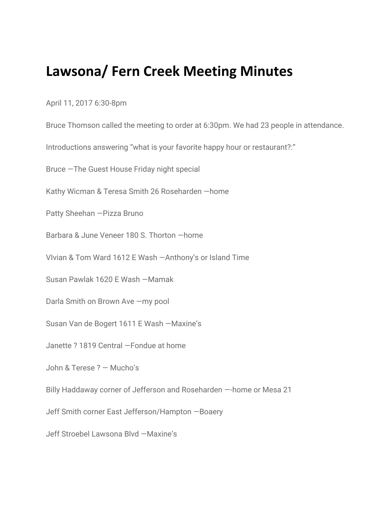## **Lawsona/ Fern Creek Meeting Minutes**

April 11, 2017 6:30-8pm

Bruce Thomson called the meeting to order at 6:30pm. We had 23 people in attendance.

Introductions answering "what is your favorite happy hour or restaurant?:"

Bruce —The Guest House Friday night special

Kathy Wicman & Teresa Smith 26 Roseharden —home

Patty Sheehan —Pizza Bruno

Barbara & June Veneer 180 S. Thorton —home

VIvian & Tom Ward 1612 E Wash —Anthony's or Island Time

Susan Pawlak 1620 E Wash —Mamak

Darla Smith on Brown Ave —my pool

Susan Van de Bogert 1611 E Wash —Maxine's

Janette ? 1819 Central —Fondue at home

John & Terese ? — Mucho's

Billy Haddaway corner of Jefferson and Roseharden —-home or Mesa 21

Jeff Smith corner East Jefferson/Hampton —Boaery

Jeff Stroebel Lawsona Blvd —Maxine's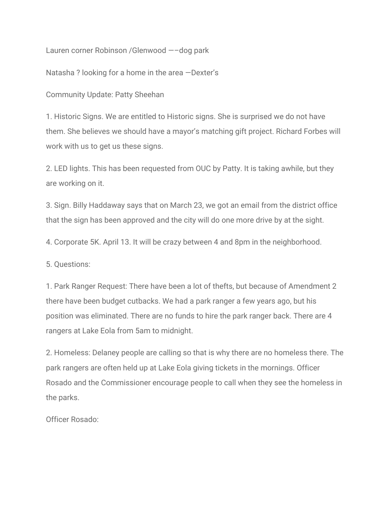Lauren corner Robinson /Glenwood —–dog park

Natasha ? looking for a home in the area —Dexter's

Community Update: Patty Sheehan

1. Historic Signs. We are entitled to Historic signs. She is surprised we do not have them. She believes we should have a mayor's matching gift project. Richard Forbes will work with us to get us these signs.

2. LED lights. This has been requested from OUC by Patty. It is taking awhile, but they are working on it.

3. Sign. Billy Haddaway says that on March 23, we got an email from the district office that the sign has been approved and the city will do one more drive by at the sight.

4. Corporate 5K. April 13. It will be crazy between 4 and 8pm in the neighborhood.

5. Questions:

1. Park Ranger Request: There have been a lot of thefts, but because of Amendment 2 there have been budget cutbacks. We had a park ranger a few years ago, but his position was eliminated. There are no funds to hire the park ranger back. There are 4 rangers at Lake Eola from 5am to midnight.

2. Homeless: Delaney people are calling so that is why there are no homeless there. The park rangers are often held up at Lake Eola giving tickets in the mornings. Officer Rosado and the Commissioner encourage people to call when they see the homeless in the parks.

Officer Rosado: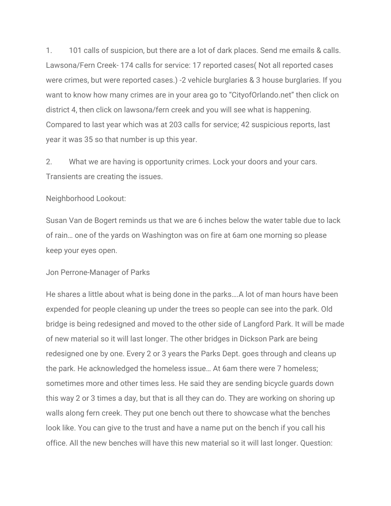1. 101 calls of suspicion, but there are a lot of dark places. Send me emails & calls. Lawsona/Fern Creek- 174 calls for service: 17 reported cases( Not all reported cases were crimes, but were reported cases.) -2 vehicle burglaries & 3 house burglaries. If you want to know how many crimes are in your area go to "CityofOrlando.net" then click on district 4, then click on lawsona/fern creek and you will see what is happening. Compared to last year which was at 203 calls for service; 42 suspicious reports, last year it was 35 so that number is up this year.

2. What we are having is opportunity crimes. Lock your doors and your cars. Transients are creating the issues.

## Neighborhood Lookout:

Susan Van de Bogert reminds us that we are 6 inches below the water table due to lack of rain… one of the yards on Washington was on fire at 6am one morning so please keep your eyes open.

## Jon Perrone-Manager of Parks

He shares a little about what is being done in the parks….A lot of man hours have been expended for people cleaning up under the trees so people can see into the park. Old bridge is being redesigned and moved to the other side of Langford Park. It will be made of new material so it will last longer. The other bridges in Dickson Park are being redesigned one by one. Every 2 or 3 years the Parks Dept. goes through and cleans up the park. He acknowledged the homeless issue… At 6am there were 7 homeless; sometimes more and other times less. He said they are sending bicycle guards down this way 2 or 3 times a day, but that is all they can do. They are working on shoring up walls along fern creek. They put one bench out there to showcase what the benches look like. You can give to the trust and have a name put on the bench if you call his office. All the new benches will have this new material so it will last longer. Question: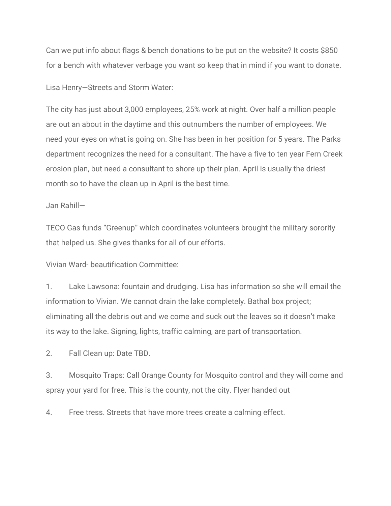Can we put info about flags & bench donations to be put on the website? It costs \$850 for a bench with whatever verbage you want so keep that in mind if you want to donate.

Lisa Henry—Streets and Storm Water:

The city has just about 3,000 employees, 25% work at night. Over half a million people are out an about in the daytime and this outnumbers the number of employees. We need your eyes on what is going on. She has been in her position for 5 years. The Parks department recognizes the need for a consultant. The have a five to ten year Fern Creek erosion plan, but need a consultant to shore up their plan. April is usually the driest month so to have the clean up in April is the best time.

## Jan Rahill—

TECO Gas funds "Greenup" which coordinates volunteers brought the military sorority that helped us. She gives thanks for all of our efforts.

Vivian Ward- beautification Committee:

1. Lake Lawsona: fountain and drudging. Lisa has information so she will email the information to Vivian. We cannot drain the lake completely. Bathal box project; eliminating all the debris out and we come and suck out the leaves so it doesn't make its way to the lake. Signing, lights, traffic calming, are part of transportation.

2. Fall Clean up: Date TBD.

3. Mosquito Traps: Call Orange County for Mosquito control and they will come and spray your yard for free. This is the county, not the city. Flyer handed out

4. Free tress. Streets that have more trees create a calming effect.